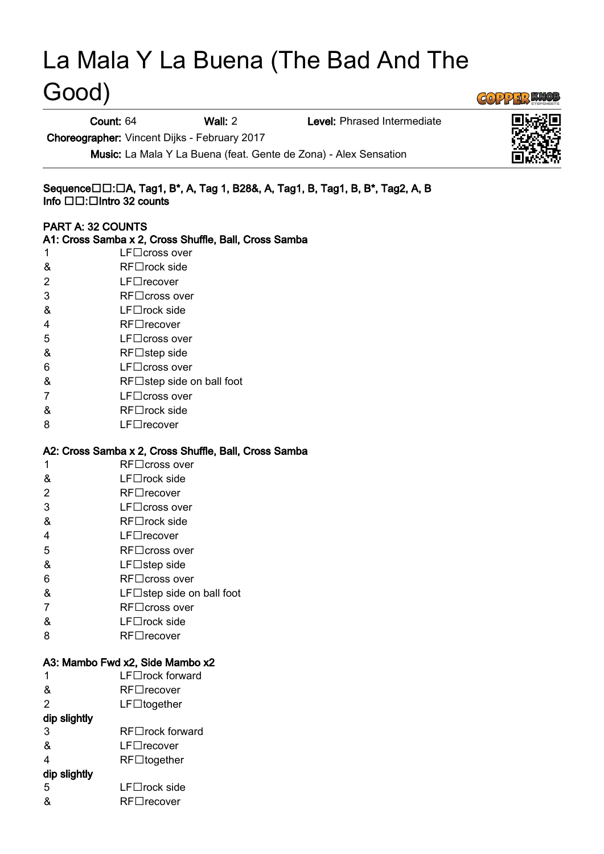# La Mala Y La Buena (The Bad And The Good)

Count: 64 Wall: 2 Level: Phrased Intermediate

Choreographer: Vincent Dijks - February 2017

Music: La Mala Y La Buena (feat. Gente de Zona) - Alex Sensation

#### Sequence□□:□A, Tag1, B\*, A, Tag 1, B28&, A, Tag1, B, Tag1, B, B\*, Tag2, A, B Info  $\square \square$ :  $\square$ Intro 32 counts

#### PART A: 32 COUNTS

| PARTA: 32 COUNTS                                      |                                                                        |
|-------------------------------------------------------|------------------------------------------------------------------------|
|                                                       | A1: Cross Samba x 2, Cross Shuffle, Ball, Cross Samba<br>LF□cross over |
| 1                                                     |                                                                        |
| &                                                     | $RF\square$ rock side<br>LF□recover                                    |
| 2                                                     |                                                                        |
| 3                                                     | $RF \Box$ cross over                                                   |
| &                                                     | $LF\square$ rock side                                                  |
| 4                                                     | RF□recover                                                             |
| 5                                                     | $LF\square$ cross over                                                 |
| &                                                     | $RF \Box$ step side                                                    |
| 6                                                     | $LF\square$ cross over                                                 |
| &                                                     | RF□step side on ball foot                                              |
| 7                                                     | $LF\square$ cross over                                                 |
| &                                                     | RF□rock side                                                           |
| 8                                                     | $LF\square$ recover                                                    |
| A2: Cross Samba x 2, Cross Shuffle, Ball, Cross Samba |                                                                        |
| 1                                                     | $RF\Box$ cross over                                                    |
| &                                                     | LF□rock side                                                           |
| 2                                                     | $RF \Box$ recover                                                      |
| 3                                                     | $LF\square$ cross over                                                 |
| &                                                     | $RF\square$ rock side                                                  |
| 4                                                     | $LF\Box$ recover                                                       |
| 5                                                     | $RF \Box$ cross over                                                   |
| &                                                     | $LF\Box$ step side                                                     |
| 6                                                     | RF□ cross over                                                         |
| &                                                     | $LF\Box$ step side on ball foot                                        |
| 7                                                     | RF□ cross over                                                         |
| &                                                     | $LF\square$ rock side                                                  |
| 8                                                     | $RF \Box$ recover                                                      |
| A3: Mambo Fwd x2, Side Mambo x2                       |                                                                        |
| 1                                                     | LF□rock forward                                                        |
| &                                                     | RF□recover                                                             |
| $\overline{2}$                                        | $LF\Box$ together                                                      |
| dip slightly                                          |                                                                        |
| 3                                                     | <b>RF</b> □rock forward                                                |
| &                                                     | LF□recover                                                             |
| 4                                                     | $RF\Box$ together                                                      |
| dip slightly                                          |                                                                        |
| 5                                                     | LF□rock side                                                           |
| &                                                     | RF□recover                                                             |



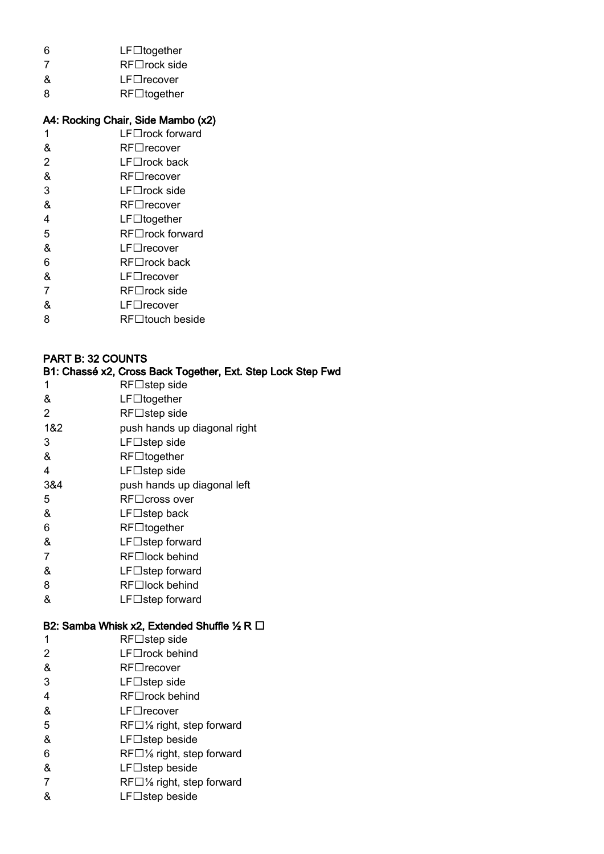- $6$  LF $\Box$ together
- 7 RF□rock side
- & LF□recover
- 8 RF<sup>Idogether</sup>

## A4: Rocking Chair, Side Mambo (x2)

- $1$  LF $\Box$ rock forward
- & RF□recover
- $2$  LF $\Box$ rock back
- & RF□recover
- $3$  LF $\Box$ rock side
- & RF□recover  $4$  LF $\Box$ together
- 5 RF□rock forward
- & LF□recover
- $6 \qquad \qquad \text{RF}$   $\Box$  rock back
- & LF□recover
- $7$  RF $\Box$ rock side
- & LF□recover
- 8 RF touch beside

# PART B: 32 COUNTS

#### B1: Chassé x2, Cross Back Together, Ext. Step Lock Step Fwd

- 1 RF□step side & LF□together  $2$  RF $\Box$ step side 1&2 push hands up diagonal right
- $3$  LF $\Box$ step side
- $&$  RF $\square$ together
- 4 LF□step side
- 3&4 push hands up diagonal left
- 5 RF□cross over
- $&$  LF $\Box$ step back
- $6$  RF $\Box$ together
- & LF□step forward
- 7 RF□lock behind
- & LF□step forward
- 8 RF□lock behind
- & LF□step forward

# B2: Samba Whisk x2, Extended Shuffle 1⁄2 R □

- 1 RF□step side
- $2 \qquad \qquad \text{LF} \square$ rock behind
- & RF□recover
- $3$  LF $\Box$ step side
- 4 RF□rock behind
- & LF□recover
- 5 RF□% right, step forward
- $&$  LF $\Box$ step beside
- 6 RF $\Box$ % right, step forward
- & LF□step beside
- 7 RF□% right, step forward
- $\&$  LF $\Box$ step beside